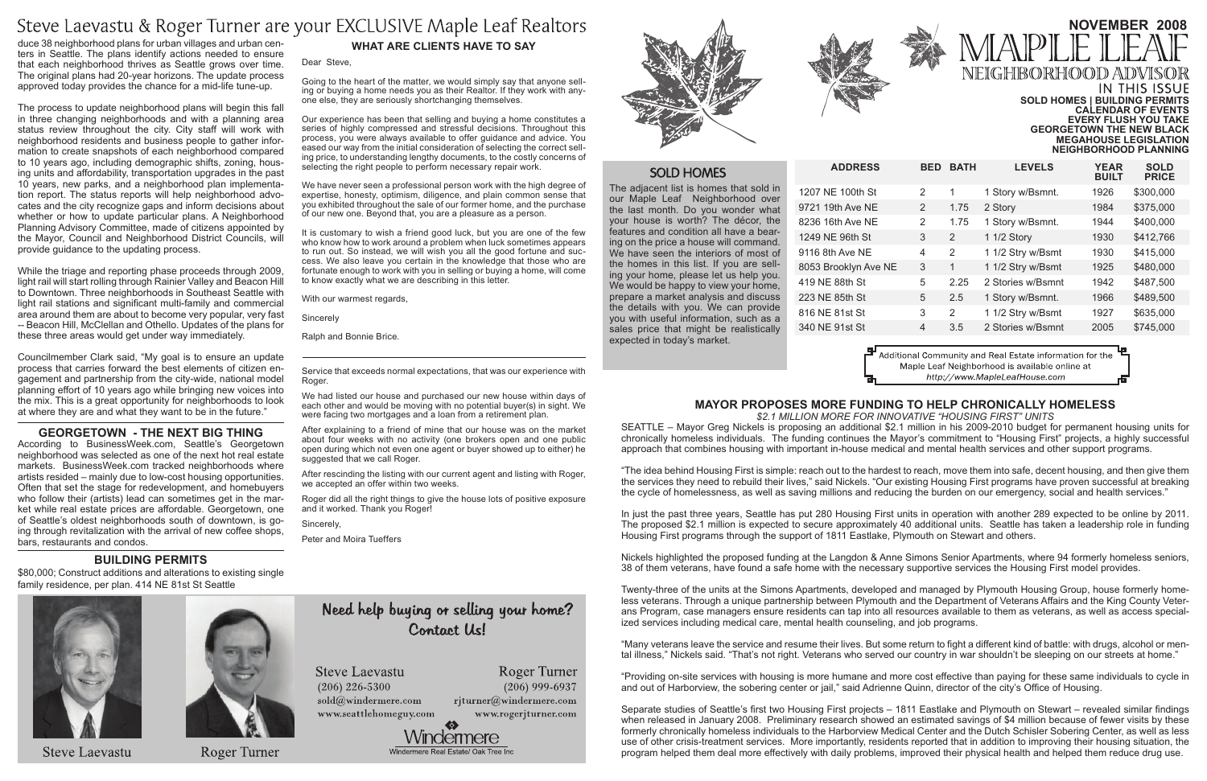|    | <b>BED</b>    | <b>BATH</b>   | <b>LEVELS</b>     | <b>YEAR</b><br><b>BUILT</b> | <b>SOLD</b><br><b>PRICE</b> |
|----|---------------|---------------|-------------------|-----------------------------|-----------------------------|
|    | 2             | 1             | 1 Story w/Bsmnt.  | 1926                        | \$300,000                   |
|    | $\mathcal{P}$ | 1.75          | 2 Story           | 1984                        | \$375,000                   |
|    | 2             | 1.75          | 1 Story w/Bsmnt.  | 1944                        | \$400,000                   |
|    | 3             | $\mathcal{P}$ | 1 1/2 Story       | 1930                        | \$412,766                   |
|    | 4             | $\mathcal{P}$ | 1 1/2 Stry w/Bsmt | 1930                        | \$415,000                   |
| ΙF | 3             | 1             | 1 1/2 Stry w/Bsmt | 1925                        | \$480,000                   |
|    | 5             | 2.25          | 2 Stories w/Bsmnt | 1942                        | \$487,500                   |
|    | 5             | 2.5           | 1 Story w/Bsmnt.  | 1966                        | \$489,500                   |
|    | 3             | $\mathcal{P}$ | 1 1/2 Stry w/Bsmt | 1927                        | \$635,000                   |
|    | 4             | 3.5           | 2 Stories w/Bsmnt | 2005                        | \$745,000                   |
|    |               |               |                   |                             |                             |

Additional Community and Real Estate information for the Maple Leaf Neighborhood is available online at http://www.MapleLeafHouse.com

The adjacent list is homes that sold in our Maple Leaf Neighborhood over the last month. Do you wonder what your house is worth? The décor, the features and condition all have a bearing on the price a house will command. We have seen the interiors of most of the homes in this list. If you are selling your home, please let us help you. We would be happy to view your home, prepare a market analysis and discuss the details with you. We can provide you with useful information, such as a sales price that might be realistically expected in today's market.

1207 NE 100th St 9721 19th Ave NE 8236 16th Ave NE 1249 NE 96th St 9116 8th Ave NE 8053 Brooklyn Ave N 419 NE 88th St 223 NE 85th St 816 NE 81st St 340 NE 91st St



# **What Are Clients Have to Say**

#### Dear Steve,

Going to the heart of the matter, we would simply say that anyone selling or buying a home needs you as their Realtor. If they work with anyone else, they are seriously shortchanging themselves.

Our experience has been that selling and buying a home constitutes a series of highly compressed and stressful decisions. Throughout this process, you were always available to offer guidance and advice. You eased our way from the initial consideration of selecting the correct selling price, to understanding lengthy documents, to the costly concerns of selecting the right people to perform necessary repair work.

We have never seen a professional person work with the high degree of expertise, honesty, optimism, diligence, and plain common sense that you exhibited throughout the sale of our former home, and the purchase of our new one. Beyond that, you are a pleasure as a person.

# **November 2008** NEIGHBORHOOD ADV IN THIS ISSUE **Sold Homes | Building Permits Calendar of Events**

It is customary to wish a friend good luck, but you are one of the few who know how to work around a problem when luck sometimes appears to run out. So instead, we will wish you all the good fortune and success. We also leave you certain in the knowledge that those who are fortunate enough to work with you in selling or buying a home, will come to know exactly what we are describing in this letter.

With our warmest regards,

Sincerely

Ralph and Bonnie Brice.

Service that exceeds normal expectations, that was our experience with Roger.

We had listed our house and purchased our new house within days of each other and would be moving with no potential buyer(s) in sight. We were facing two mortgages and a loan from a retirement plan.

After explaining to a friend of mine that our house was on the market about four weeks with no activity (one brokers open and one public open during which not even one agent or buyer showed up to either) he suggested that we call Roger.

After rescinding the listing with our current agent and listing with Roger, we accepted an offer within two weeks.

Roger did all the right things to give the house lots of positive exposure and it worked. Thank you Roger!

Sincerely,

Peter and Moira Tueffers

# Need help buying or selling your home? Contact Us!

**Steve Laevastu** 

 $(206)$  226-5300 sold@windermere.com www.seattlehomeguy.com



 $(206)$  999-6937





 $ADDRESS$ 

# **SOLD HOMES**

**Every Flush you take Georgetown the new black Megahouse Legislation Neighborhood planning**

# **BUILDING PERMITS**

\$80,000; Construct additions and alterations to existing single family residence, per plan. 414 NE 81st St Seattle



**Steve Laevastu** 



**Roger Turner** 

# **Mayor proposes more funding to help chronically homeless**

### *\$2.1 million more for innovative "Housing First" units*

SEATTLE – Mayor Greg Nickels is proposing an additional \$2.1 million in his 2009-2010 budget for permanent housing units for chronically homeless individuals. The funding continues the Mayor's commitment to "Housing First" projects, a highly successful approach that combines housing with important in-house medical and mental health services and other support programs.

"The idea behind Housing First is simple: reach out to the hardest to reach, move them into safe, decent housing, and then give them the services they need to rebuild their lives," said Nickels. "Our existing Housing First programs have proven successful at breaking the cycle of homelessness, as well as saving millions and reducing the burden on our emergency, social and health services."

In just the past three years, Seattle has put 280 Housing First units in operation with another 289 expected to be online by 2011. The proposed \$2.1 million is expected to secure approximately 40 additional units. Seattle has taken a leadership role in funding Housing First programs through the support of 1811 Eastlake, Plymouth on Stewart and others.

Nickels highlighted the proposed funding at the Langdon & Anne Simons Senior Apartments, where 94 formerly homeless seniors, 38 of them veterans, have found a safe home with the necessary supportive services the Housing First model provides.

Twenty-three of the units at the Simons Apartments, developed and managed by Plymouth Housing Group, house formerly homeless veterans. Through a unique partnership between Plymouth and the Department of Veterans Affairs and the King County Veterans Program, case managers ensure residents can tap into all resources available to them as veterans, as well as access specialized services including medical care, mental health counseling, and job programs.

"Many veterans leave the service and resume their lives. But some return to fight a different kind of battle: with drugs, alcohol or mental illness," Nickels said. "That's not right. Veterans who served our country in war shouldn't be sleeping on our streets at home."

"Providing on-site services with housing is more humane and more cost effective than paying for these same individuals to cycle in and out of Harborview, the sobering center or jail," said Adrienne Quinn, director of the city's Office of Housing.

Separate studies of Seattle's first two Housing First projects – 1811 Eastlake and Plymouth on Stewart – revealed similar findings when released in January 2008. Preliminary research showed an estimated savings of \$4 million because of fewer visits by these formerly chronically homeless individuals to the Harborview Medical Center and the Dutch Schisler Sobering Center, as well as less use of other crisis-treatment services. More importantly, residents reported that in addition to improving their housing situation, the program helped them deal more effectively with daily problems, improved their physical health and helped them reduce drug use.

Roger Turner rjturner@windermere.com www.rogerjturner.com



# Steve Laevastu & Roger Turner are your EXCLUSIVE Maple Leaf Realtors

duce 38 neighborhood plans for urban villages and urban centers in Seattle. The plans identify actions needed to ensure that each neighborhood thrives as Seattle grows over time. The original plans had 20-year horizons. The update process approved today provides the chance for a mid-life tune-up.

The process to update neighborhood plans will begin this fall in three changing neighborhoods and with a planning area status review throughout the city. City staff will work with neighborhood residents and business people to gather information to create snapshots of each neighborhood compared to 10 years ago, including demographic shifts, zoning, housing units and affordability, transportation upgrades in the past 10 years, new parks, and a neighborhood plan implementation report. The status reports will help neighborhood advocates and the city recognize gaps and inform decisions about whether or how to update particular plans. A Neighborhood Planning Advisory Committee, made of citizens appointed by the Mayor, Council and Neighborhood District Councils, will provide guidance to the updating process.

While the triage and reporting phase proceeds through 2009, light rail will start rolling through Rainier Valley and Beacon Hill to Downtown. Three neighborhoods in Southeast Seattle with light rail stations and significant multi-family and commercial area around them are about to become very popular, very fast -- Beacon Hill, McClellan and Othello. Updates of the plans for these three areas would get under way immediately.

Councilmember Clark said, "My goal is to ensure an update process that carries forward the best elements of citizen engagement and partnership from the city-wide, national model planning effort of 10 years ago while bringing new voices into the mix. This is a great opportunity for neighborhoods to look at where they are and what they want to be in the future."

### **GEORGETOWN - THE NEXT BIG THING**

According to BusinessWeek.com, Seattle's Georgetown neighborhood was selected as one of the next hot real estate markets. BusinessWeek.com tracked neighborhoods where artists resided – mainly due to low-cost housing opportunities. Often that set the stage for redevelopment, and homebuyers who follow their (artists) lead can sometimes get in the market while real estate prices are affordable. Georgetown, one of Seattle's oldest neighborhoods south of downtown, is going through revitalization with the arrival of new coffee shops, bars, restaurants and condos.